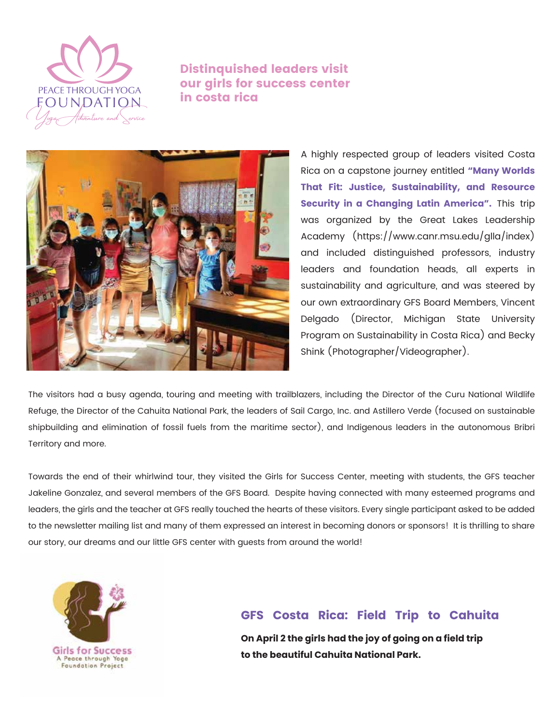

Distinquished leaders visit our girls for success center in costa rica



A highly respected group of leaders visited Costa Rica on a capstone journey entitled **"Many Worlds That Fit: Justice, Sustainability, and Resource Security in a Changing Latin America".** This trip was organized by the Great Lakes Leadership Academy (https://www.canr.msu.edu/glla/index) and included distinguished professors, industry leaders and foundation heads, all experts in sustainability and agriculture, and was steered by our own extraordinary GFS Board Members, Vincent Delgado (Director, Michigan State University Program on Sustainability in Costa Rica) and Becky Shink (Photographer/Videographer).

The visitors had a busy agenda, touring and meeting with trailblazers, including the Director of the Curu National Wildlife Refuge, the Director of the Cahuita National Park, the leaders of Sail Cargo, Inc. and Astillero Verde (focused on sustainable shipbuilding and elimination of fossil fuels from the maritime sector), and Indigenous leaders in the autonomous Bribri Territory and more.

Towards the end of their whirlwind tour, they visited the Girls for Success Center, meeting with students, the GFS teacher Jakeline Gonzalez, and several members of the GFS Board. Despite having connected with many esteemed programs and leaders, the girls and the teacher at GFS really touched the hearts of these visitors. Every single participant asked to be added to the newsletter mailing list and many of them expressed an interest in becoming donors or sponsors! It is thrilling to share our story, our dreams and our little GFS center with guests from around the world!



# **GFS Costa Rica: Field Trip to Cahuita**

**On April 2 the girls had the joy of going on a field trip to the beautiful Cahuita National Park.**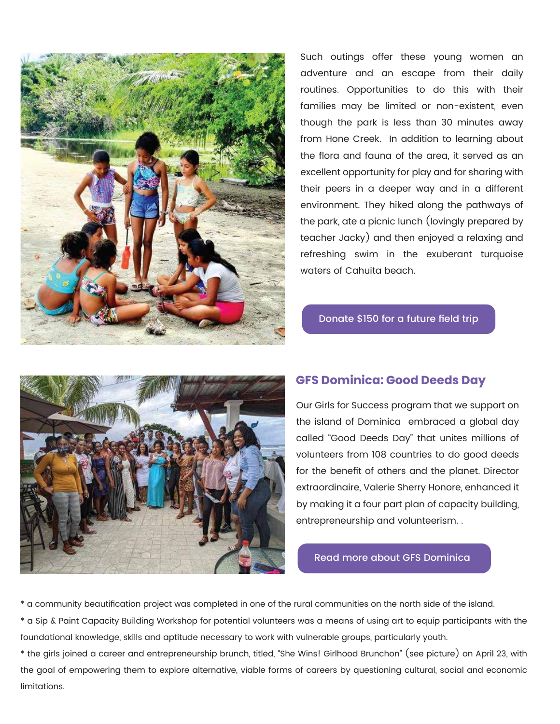

Such outings offer these young women an adventure and an escape from their daily routines. Opportunities to do this with their families may be limited or non-existent, even though the park is less than 30 minutes away from Hone Creek. In addition to learning about the flora and fauna of the area, it served as an excellent opportunity for play and for sharing with their peers in a deeper way and in a different environment. They hiked along the pathways of the park, ate a picnic lunch (lovingly prepared by teacher Jacky) and then enjoyed a relaxing and refreshing swim in the exuberant turquoise waters of Cahuita beach.

#### [Donate \\$150 for a future field trip](https://www.girlsforsuccess.org/donate)



### **GFS Dominica: Good Deeds Day**

Our Girls for Success program that we support on the island of Dominica embraced a global day called "Good Deeds Day" that unites millions of volunteers from 108 countries to do good deeds for the benefit of others and the planet. Director extraordinaire, Valerie Sherry Honore, enhanced it by making it a four part plan of capacity building, entrepreneurship and volunteerism. .

[Read more about GFS Dominica](https://www.peacethroughyoga.org/girls-for-success-dominica)

\* a community beautification project was completed in one of the rural communities on the north side of the island.

\* a Sip & Paint Capacity Building Workshop for potential volunteers was a means of using art to equip participants with the foundational knowledge, skills and aptitude necessary to work with vulnerable groups, particularly youth.

\* the girls joined a career and entrepreneurship brunch, titled, "She Wins! Girlhood Brunchon" (see picture) on April 23, with the goal of empowering them to explore alternative, viable forms of careers by questioning cultural, social and economic limitations.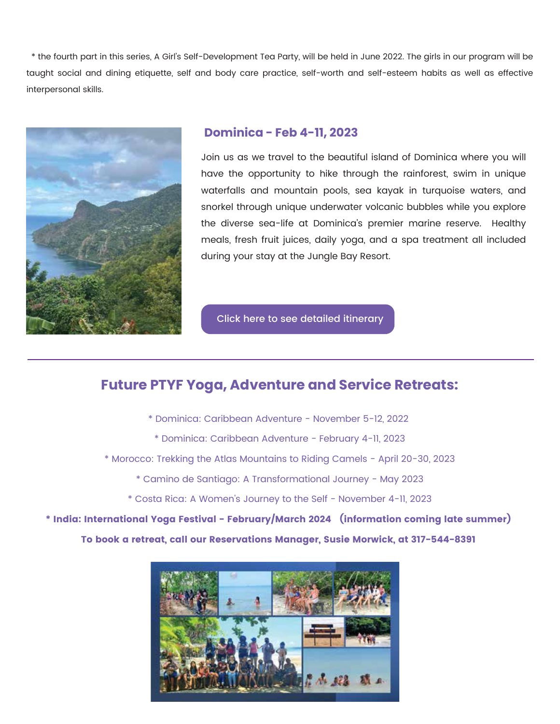\* the fourth part in this series, A Girl's Self-Development Tea Party, will be held in June 2022. The girls in our program will be taught social and dining etiquette, self and body care practice, self-worth and self-esteem habits as well as effective interpersonal skills.



## **Dominica - Feb 4-11, 2023**

Join us as we travel to the beautiful island of Dominica where you will have the opportunity to hike through the rainforest, swim in unique waterfalls and mountain pools, sea kayak in turquoise waters, and snorkel through unique underwater volcanic bubbles while you explore the diverse sea-life at Dominica's premier marine reserve. Healthy meals, fresh fruit juices, daily yoga, and a spa treatment all included during your stay at the Jungle Bay Resort.

[Click here to see detailed itinerary](https://www.peacethroughyoga.org/retreat-dominica)

# **Future PTYF Yoga, Adventure and Service Retreats:**

í

- [\\* Dominica: Caribbean Adventure November 5-12, 2022](https://www.peacethroughyoga.org/retreat-dominica) 
	- [\\* Dominica: Caribbean Adventure February 4-11, 2023](https://www.peacethroughyoga.org/retreat-dominica)
- [\\* Morocco: Trekking the Atlas Mountains to Riding Camels April 20-30, 2023](https://www.peacethroughyoga.org/retreat-morocco)
	- [\\* Camino de Santiago: A Transformational Journey May 2023](https://www.peacethroughyoga.org/retreat-spain)
	- [\\* Costa Rica: A Women's Journey to the Self November 4-11, 2023](https://www.peacethroughyoga.org/retreat-costa-rica)

\* India: International Yoga Festival - February/March 2024 (information coming late summer)

To book a retreat, call our Reservations Manager, Susie Morwick, at 317-544-8391